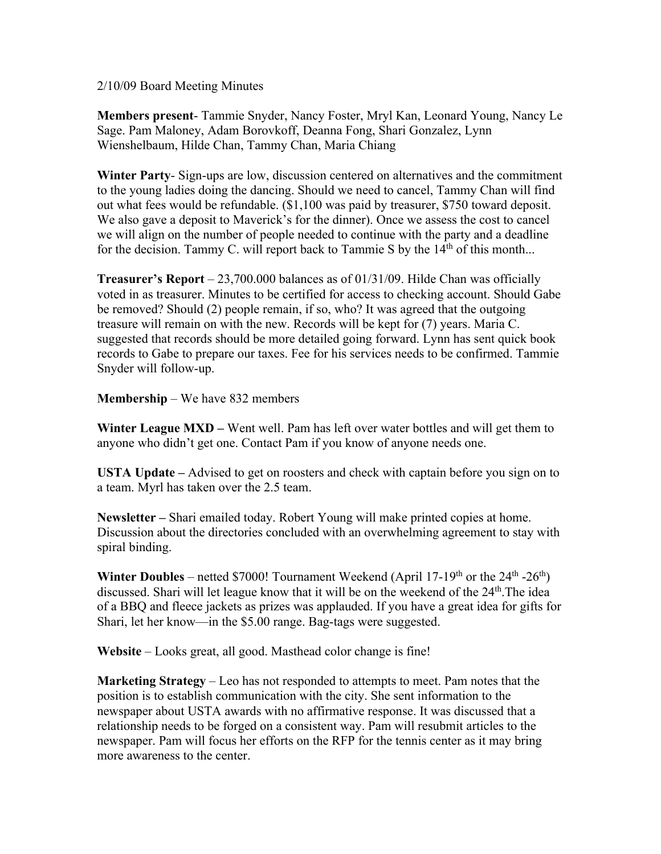2/10/09 Board Meeting Minutes

**Members present**- Tammie Snyder, Nancy Foster, Mryl Kan, Leonard Young, Nancy Le Sage. Pam Maloney, Adam Borovkoff, Deanna Fong, Shari Gonzalez, Lynn Wienshelbaum, Hilde Chan, Tammy Chan, Maria Chiang

**Winter Party**- Sign-ups are low, discussion centered on alternatives and the commitment to the young ladies doing the dancing. Should we need to cancel, Tammy Chan will find out what fees would be refundable. (\$1,100 was paid by treasurer, \$750 toward deposit. We also gave a deposit to Maverick's for the dinner). Once we assess the cost to cancel we will align on the number of people needed to continue with the party and a deadline for the decision. Tammy C. will report back to Tammie S by the 14<sup>th</sup> of this month...

**Treasurer's Report** – 23,700.000 balances as of 01/31/09. Hilde Chan was officially voted in as treasurer. Minutes to be certified for access to checking account. Should Gabe be removed? Should (2) people remain, if so, who? It was agreed that the outgoing treasure will remain on with the new. Records will be kept for (7) years. Maria C. suggested that records should be more detailed going forward. Lynn has sent quick book records to Gabe to prepare our taxes. Fee for his services needs to be confirmed. Tammie Snyder will follow-up.

**Membership** – We have 832 members

**Winter League MXD** – Went well. Pam has left over water bottles and will get them to anyone who didn't get one. Contact Pam if you know of anyone needs one.

**USTA Update –** Advised to get on roosters and check with captain before you sign on to a team. Myrl has taken over the 2.5 team.

**Newsletter –** Shari emailed today. Robert Young will make printed copies at home. Discussion about the directories concluded with an overwhelming agreement to stay with spiral binding.

**Winter Doubles** – netted \$7000! Tournament Weekend (April 17-19<sup>th</sup> or the 24<sup>th</sup> -26<sup>th</sup>) discussed. Shari will let league know that it will be on the weekend of the 24<sup>th</sup>. The idea of a BBQ and fleece jackets as prizes was applauded. If you have a great idea for gifts for Shari, let her know—in the \$5.00 range. Bag-tags were suggested.

**Website** – Looks great, all good. Masthead color change is fine!

**Marketing Strategy** – Leo has not responded to attempts to meet. Pam notes that the position is to establish communication with the city. She sent information to the newspaper about USTA awards with no affirmative response. It was discussed that a relationship needs to be forged on a consistent way. Pam will resubmit articles to the newspaper. Pam will focus her efforts on the RFP for the tennis center as it may bring more awareness to the center.